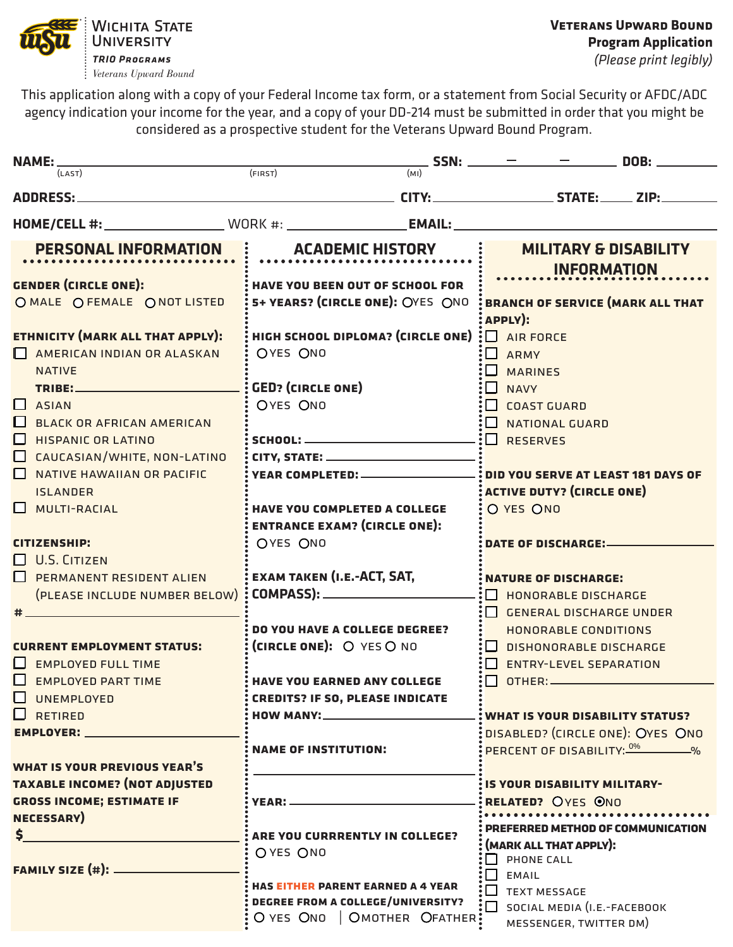

*Veterans Upward Bound*

This application along with a copy of your Federal Income tax form, or a statement from Social Security or AFDC/ADC agency indication your income for the year, and a copy of your DD-214 must be submitted in order that you might be considered as a prospective student for the Veterans Upward Bound Program.

| <b>NAME:</b>                              |                                                                                                      | $-$ SSN: $  -$ DOB:                     |  |  |
|-------------------------------------------|------------------------------------------------------------------------------------------------------|-----------------------------------------|--|--|
| (LAST)                                    | $\frac{1}{\text{(FIRST)}}$<br>(MI)                                                                   |                                         |  |  |
| <b>ADDRESS:_</b>                          |                                                                                                      |                                         |  |  |
|                                           | HOME/CELL #: _______________________WORK #: ______________________EMAIL: ___________________________ |                                         |  |  |
|                                           |                                                                                                      |                                         |  |  |
| PERSONAL INFORMATION.                     | <b>ACADEMIC HISTORY</b>                                                                              | <b>MILITARY &amp; DISABILITY</b>        |  |  |
|                                           |                                                                                                      | <b>INFORMATION</b>                      |  |  |
| <b>GENDER (CIRCLE ONE):</b>               | <b>HAVE YOU BEEN OUT OF SCHOOL FOR</b>                                                               |                                         |  |  |
| O MALE O FEMALE O NOT LISTED              | 5+ YEARS? (CIRCLE ONE): OYES ONO                                                                     | <b>BRANCH OF SERVICE (MARK ALL THAT</b> |  |  |
|                                           |                                                                                                      | APPLY):                                 |  |  |
| ETHNICITY (MARK ALL THAT APPLY):          | HIGH SCHOOL DIPLOMA? (CIRCLE ONE) $\Box$ AIR FORCE                                                   |                                         |  |  |
| AMERICAN INDIAN OR ALASKAN                | OYES ONO                                                                                             | $:\Box$ ARMY                            |  |  |
| <b>NATIVE</b>                             |                                                                                                      | $: \Box$ MARINES                        |  |  |
|                                           |                                                                                                      | $:\Box$ NAVY                            |  |  |
| $\blacksquare$<br><b>ASIAN</b>            | OYES ONO                                                                                             | COAST GUARD                             |  |  |
| $\mathbf{L}$<br>BLACK OR AFRICAN AMERICAN |                                                                                                      | NATIONAL GUARD                          |  |  |
| <b>HISPANIC OR LATINO</b><br>H            |                                                                                                      | $\Box$ RESERVES                         |  |  |
| CAUCASIAN/WHITE, NON-LATINO<br>ப          |                                                                                                      |                                         |  |  |
| NATIVE HAWAIIAN OR PACIFIC                |                                                                                                      | DID YOU SERVE AT LEAST 181 DAYS OF      |  |  |
| <b>ISLANDER</b>                           |                                                                                                      | <b>ACTIVE DUTY? (CIRCLE ONE)</b>        |  |  |
| <b>MULTI-RACIAL</b>                       | <b>HAVE YOU COMPLETED A COLLEGE</b>                                                                  | O YES ONO                               |  |  |
|                                           | <b>ENTRANCE EXAM? (CIRCLE ONE):</b>                                                                  |                                         |  |  |
| <b>CITIZENSHIP:</b>                       | OYES ONO                                                                                             |                                         |  |  |
| <b>U.S. CITIZEN</b><br>H                  |                                                                                                      |                                         |  |  |
| PERMANENT RESIDENT ALIEN                  | <b>EXAM TAKEN (I.E.-ACT, SAT,</b>                                                                    | <b>NATURE OF DISCHARGE:</b>             |  |  |
| (PLEASE INCLUDE NUMBER BELOW)             |                                                                                                      | <b>: O HONORABLE DISCHARGE</b>          |  |  |
|                                           |                                                                                                      | GENERAL DISCHARGE UNDER                 |  |  |
|                                           | <b>DO YOU HAVE A COLLEGE DEGREE?</b>                                                                 | <b>HONORABLE CONDITIONS</b>             |  |  |
|                                           | (CIRCLE ONE): O YES O NO                                                                             |                                         |  |  |
| <b>CURRENT EMPLOYMENT STATUS:</b>         |                                                                                                      | DISHONORABLE DISCHARGE                  |  |  |
| <b>EMPLOYED FULL TIME</b>                 |                                                                                                      | ENTRY-LEVEL SEPARATION                  |  |  |
| <b>EMPLOYED PART TIME</b>                 | HAVE YOU EARNED ANY COLLEGE                                                                          |                                         |  |  |
| <b>UNEMPLOYED</b>                         | <b>CREDITS? IF SO, PLEASE INDICATE</b>                                                               |                                         |  |  |
| <b>RETIRED</b>                            |                                                                                                      | : WHAT IS YOUR DISABILITY STATUS?       |  |  |
| EMPLOYER: WARD AND THE TABLE              |                                                                                                      | DISABLED? (CIRCLE ONE): OYES ONO        |  |  |
|                                           | <b>NAME OF INSTITUTION:</b>                                                                          | PERCENT OF DISABILITY: 0% ________%     |  |  |
| <b>WHAT IS YOUR PREVIOUS YEAR'S</b>       |                                                                                                      |                                         |  |  |
| <b>TAXABLE INCOME? (NOT ADJUSTED</b>      |                                                                                                      | <b>IS YOUR DISABILITY MILITARY-</b>     |  |  |
| <b>GROSS INCOME; ESTIMATE IF</b>          |                                                                                                      | RELATED? OYES ONO                       |  |  |
| <b>NECESSARY</b> )                        |                                                                                                      | PREFERRED METHOD OF COMMUNICATION       |  |  |
| $\mathsf{S}$                              | ARE YOU CURRRENTLY IN COLLEGE?                                                                       | (MARK ALL THAT APPLY):                  |  |  |
|                                           | OYES ONO                                                                                             | $\Box$ PHONE CALL                       |  |  |
| <b>FAMILY SIZE (#): ________</b>          |                                                                                                      | $\Box$ EMAIL                            |  |  |
|                                           | <b>HAS EITHER PARENT EARNED A 4 YEAR</b>                                                             | TEXT MESSAGE                            |  |  |
|                                           | <b>DEGREE FROM A COLLEGE/UNIVERSITY?</b>                                                             | $\sum$ SOCIAL MEDIA (I.E.-FACEBOOK      |  |  |
|                                           | O YES ONO   OMOTHER OFATHER!                                                                         | MESSENGER, TWITTER DM)                  |  |  |